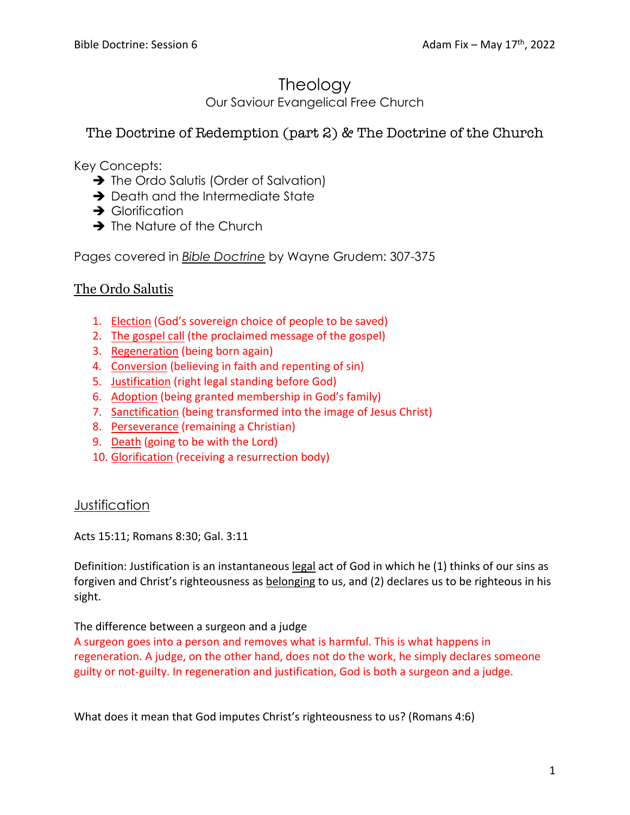# **Theology**

Our Saviour Evangelical Free Church

# The Doctrine of Redemption (part 2) & The Doctrine of the Church

Key Concepts:

- $\rightarrow$  The Ordo Salutis (Order of Salvation)
- $\rightarrow$  Death and the Intermediate State
- $\rightarrow$  Glorification
- $\rightarrow$  The Nature of the Church

Pages covered in *Bible Doctrine* by Wayne Grudem: 307-375

# The Ordo Salutis

- 1. Election (God's sovereign choice of people to be saved)
- 2. The gospel call (the proclaimed message of the gospel)
- 3. Regeneration (being born again)
- 4. Conversion (believing in faith and repenting of sin)
- 5. Justification (right legal standing before God)
- 6. Adoption (being granted membership in God's family)
- 7. Sanctification (being transformed into the image of Jesus Christ)
- 8. Perseverance (remaining a Christian)
- 9. Death (going to be with the Lord)
- 10. Glorification (receiving a resurrection body)

## **Justification**

Acts 15:11; Romans 8:30; Gal. 3:11

Definition: Justification is an instantaneous legal act of God in which he (1) thinks of our sins as forgiven and Christ's righteousness as belonging to us, and (2) declares us to be righteous in his sight.

## The difference between a surgeon and a judge

A surgeon goes into a person and removes what is harmful. This is what happens in regeneration. A judge, on the other hand, does not do the work, he simply declares someone guilty or not-guilty. In regeneration and justification, God is both a surgeon and a judge.

What does it mean that God imputes Christ's righteousness to us? (Romans 4:6)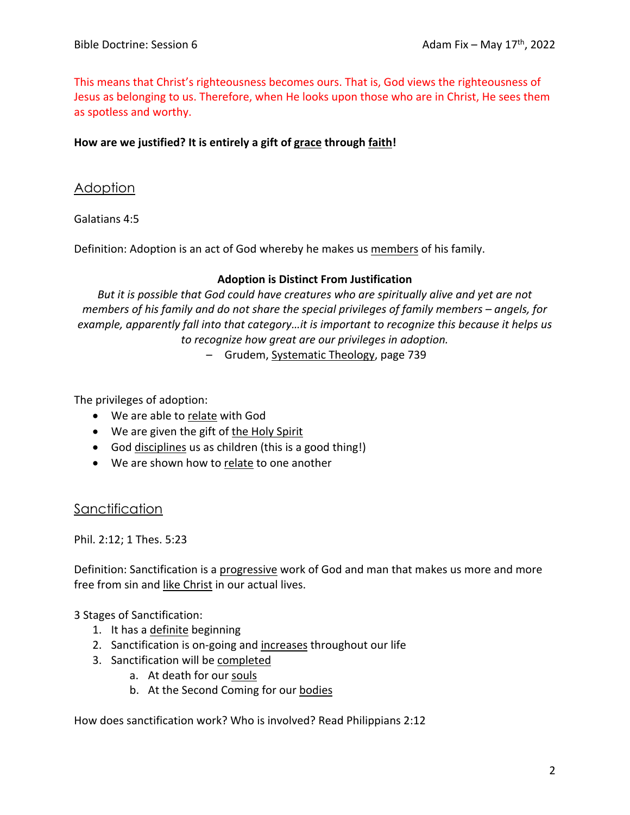This means that Christ's righteousness becomes ours. That is, God views the righteousness of Jesus as belonging to us. Therefore, when He looks upon those who are in Christ, He sees them as spotless and worthy.

### **How are we justified? It is entirely a gift of grace through faith!**

## **Adoption**

Galatians 4:5

Definition: Adoption is an act of God whereby he makes us members of his family.

#### **Adoption is Distinct From Justification**

*But it is possible that God could have creatures who are spiritually alive and yet are not members of his family and do not share the special privileges of family members – angels, for example, apparently fall into that category…it is important to recognize this because it helps us to recognize how great are our privileges in adoption.*

– Grudem, Systematic Theology, page 739

The privileges of adoption:

- We are able to relate with God
- We are given the gift of the Holy Spirit
- God disciplines us as children (this is a good thing!)
- We are shown how to relate to one another

Sanctification

Phil. 2:12; 1 Thes. 5:23

Definition: Sanctification is a progressive work of God and man that makes us more and more free from sin and like Christ in our actual lives.

3 Stages of Sanctification:

- 1. It has a definite beginning
- 2. Sanctification is on-going and increases throughout our life
- 3. Sanctification will be completed
	- a. At death for our souls
	- b. At the Second Coming for our bodies

How does sanctification work? Who is involved? Read Philippians 2:12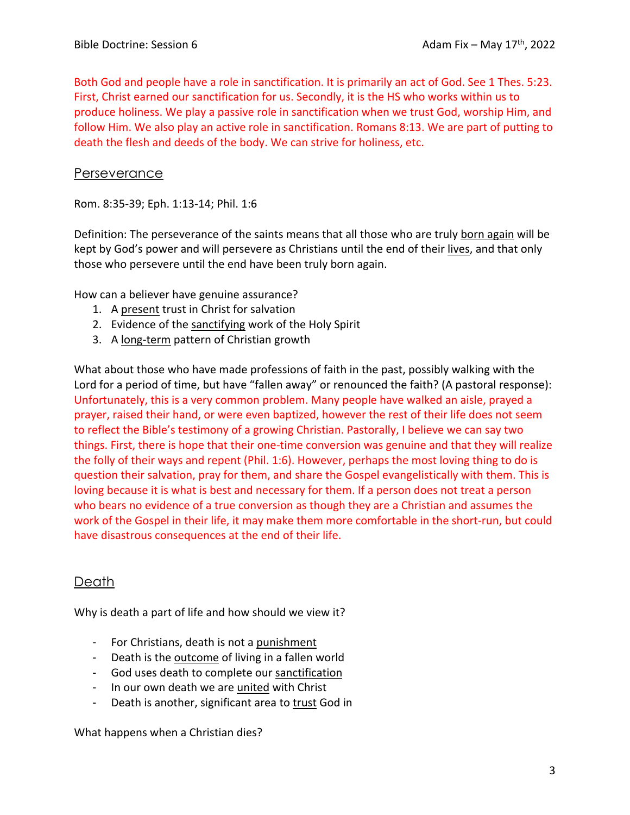Both God and people have a role in sanctification. It is primarily an act of God. See 1 Thes. 5:23. First, Christ earned our sanctification for us. Secondly, it is the HS who works within us to produce holiness. We play a passive role in sanctification when we trust God, worship Him, and follow Him. We also play an active role in sanctification. Romans 8:13. We are part of putting to death the flesh and deeds of the body. We can strive for holiness, etc.

### **Perseverance**

Rom. 8:35-39; Eph. 1:13-14; Phil. 1:6

Definition: The perseverance of the saints means that all those who are truly born again will be kept by God's power and will persevere as Christians until the end of their lives, and that only those who persevere until the end have been truly born again.

How can a believer have genuine assurance?

- 1. A present trust in Christ for salvation
- 2. Evidence of the sanctifying work of the Holy Spirit
- 3. A long-term pattern of Christian growth

What about those who have made professions of faith in the past, possibly walking with the Lord for a period of time, but have "fallen away" or renounced the faith? (A pastoral response): Unfortunately, this is a very common problem. Many people have walked an aisle, prayed a prayer, raised their hand, or were even baptized, however the rest of their life does not seem to reflect the Bible's testimony of a growing Christian. Pastorally, I believe we can say two things. First, there is hope that their one-time conversion was genuine and that they will realize the folly of their ways and repent (Phil. 1:6). However, perhaps the most loving thing to do is question their salvation, pray for them, and share the Gospel evangelistically with them. This is loving because it is what is best and necessary for them. If a person does not treat a person who bears no evidence of a true conversion as though they are a Christian and assumes the work of the Gospel in their life, it may make them more comfortable in the short-run, but could have disastrous consequences at the end of their life.

## Death

Why is death a part of life and how should we view it?

- For Christians, death is not a punishment
- Death is the outcome of living in a fallen world
- God uses death to complete our sanctification
- In our own death we are united with Christ
- Death is another, significant area to trust God in

What happens when a Christian dies?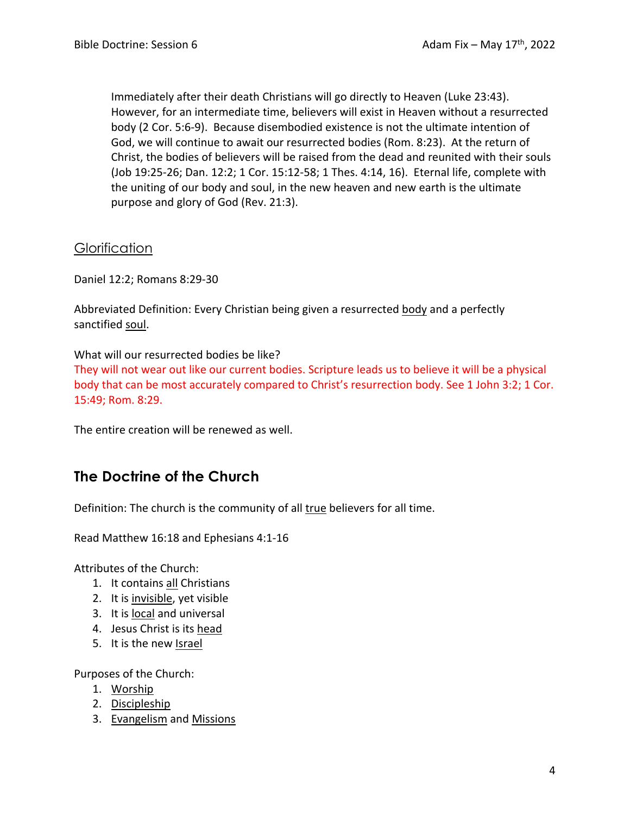Immediately after their death Christians will go directly to Heaven (Luke 23:43). However, for an intermediate time, believers will exist in Heaven without a resurrected body (2 Cor. 5:6-9). Because disembodied existence is not the ultimate intention of God, we will continue to await our resurrected bodies (Rom. 8:23). At the return of Christ, the bodies of believers will be raised from the dead and reunited with their souls (Job 19:25-26; Dan. 12:2; 1 Cor. 15:12-58; 1 Thes. 4:14, 16). Eternal life, complete with the uniting of our body and soul, in the new heaven and new earth is the ultimate purpose and glory of God (Rev. 21:3).

**Glorification** 

Daniel 12:2; Romans 8:29-30

Abbreviated Definition: Every Christian being given a resurrected body and a perfectly sanctified soul.

What will our resurrected bodies be like?

They will not wear out like our current bodies. Scripture leads us to believe it will be a physical body that can be most accurately compared to Christ's resurrection body. See 1 John 3:2; 1 Cor. 15:49; Rom. 8:29.

The entire creation will be renewed as well.

# **The Doctrine of the Church**

Definition: The church is the community of all true believers for all time.

Read Matthew 16:18 and Ephesians 4:1-16

Attributes of the Church:

- 1. It contains all Christians
- 2. It is invisible, yet visible
- 3. It is local and universal
- 4. Jesus Christ is its head
- 5. It is the new Israel

Purposes of the Church:

- 1. Worship
- 2. Discipleship
- 3. Evangelism and Missions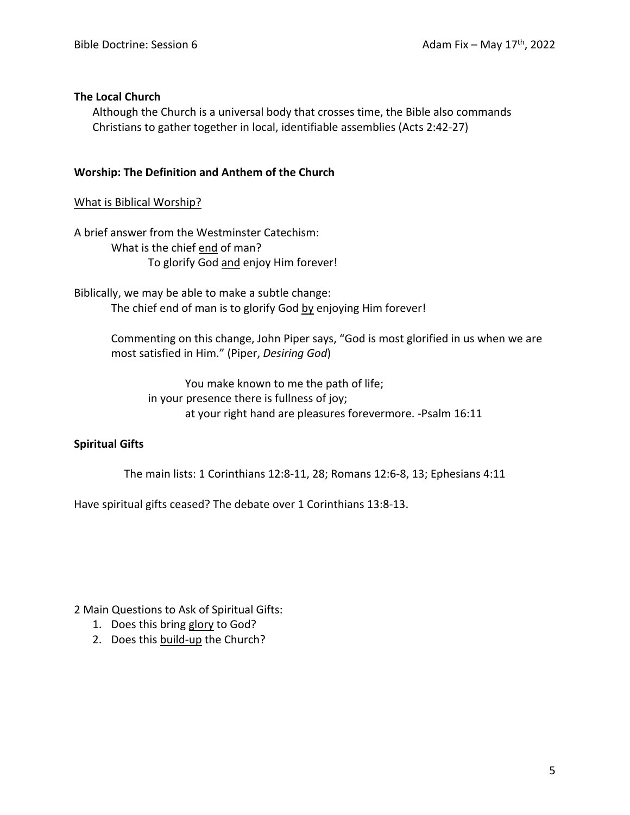#### **The Local Church**

Although the Church is a universal body that crosses time, the Bible also commands Christians to gather together in local, identifiable assemblies (Acts 2:42-27)

#### **Worship: The Definition and Anthem of the Church**

#### What is Biblical Worship?

A brief answer from the Westminster Catechism: What is the chief end of man? To glorify God and enjoy Him forever!

Biblically, we may be able to make a subtle change: The chief end of man is to glorify God by enjoying Him forever!

> Commenting on this change, John Piper says, "God is most glorified in us when we are most satisfied in Him." (Piper, *Desiring God*)

You make known to me the path of life; in your presence there is fullness of joy; at your right hand are pleasures forevermore. -Psalm 16:11

#### **Spiritual Gifts**

The main lists: 1 Corinthians 12:8-11, 28; Romans 12:6-8, 13; Ephesians 4:11

Have spiritual gifts ceased? The debate over 1 Corinthians 13:8-13.

2 Main Questions to Ask of Spiritual Gifts:

- 1. Does this bring glory to God?
- 2. Does this build-up the Church?